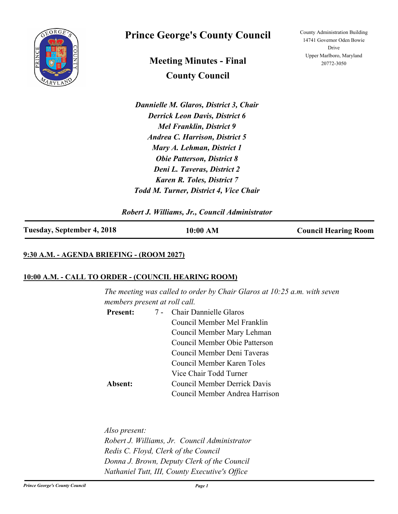

# **Prince George's County Council**

**Meeting Minutes - Final County Council**

*Dannielle M. Glaros, District 3, Chair Derrick Leon Davis, District 6 Mel Franklin, District 9 Andrea C. Harrison, District 5 Mary A. Lehman, District 1 Obie Patterson, District 8 Deni L. Taveras, District 2 Karen R. Toles, District 7 Todd M. Turner, District 4, Vice Chair*

*Robert J. Williams, Jr., Council Administrator*

## **Tuesday, September 4, 2018 10:00 AM Council Hearing Room**

## **9:30 A.M. - AGENDA BRIEFING - (ROOM 2027)**

### **10:00 A.M. - CALL TO ORDER - (COUNCIL HEARING ROOM)**

*The meeting was called to order by Chair Glaros at 10:25 a.m. with seven members present at roll call.*

| <b>Present:</b> | 7 - Chair Dannielle Glaros          |  |
|-----------------|-------------------------------------|--|
|                 | Council Member Mel Franklin         |  |
|                 | Council Member Mary Lehman          |  |
|                 | Council Member Obie Patterson       |  |
|                 | Council Member Deni Taveras         |  |
|                 | Council Member Karen Toles          |  |
|                 | Vice Chair Todd Turner              |  |
| Absent:         | <b>Council Member Derrick Davis</b> |  |
|                 | Council Member Andrea Harrison      |  |

*Also present: Robert J. Williams, Jr. Council Administrator Redis C. Floyd, Clerk of the Council Donna J. Brown, Deputy Clerk of the Council Nathaniel Tutt, III, County Executive's Office*

County Administration Building 14741 Governor Oden Bowie Drive Upper Marlboro, Maryland 20772-3050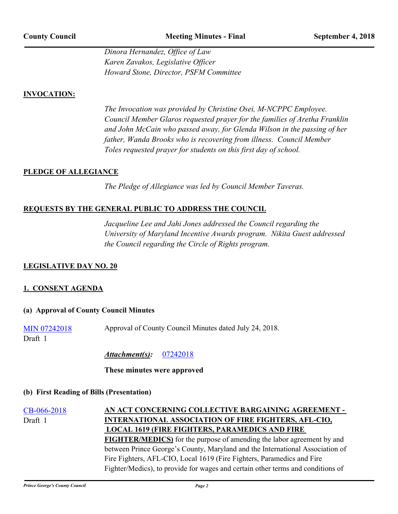*Dinora Hernandez, Office of Law Karen Zavakos, Legislative Officer Howard Stone, Director, PSFM Committee*

### **INVOCATION:**

*The Invocation was provided by Christine Osei, M-NCPPC Employee. Council Member Glaros requested prayer for the families of Aretha Franklin and John McCain who passed away, for Glenda Wilson in the passing of her father, Wanda Brooks who is recovering from illness. Council Member Toles requested prayer for students on this first day of school.*

### **PLEDGE OF ALLEGIANCE**

*The Pledge of Allegiance was led by Council Member Taveras.*

## **REQUESTS BY THE GENERAL PUBLIC TO ADDRESS THE COUNCIL**

*Jacqueline Lee and Jahi Jones addressed the Council regarding the University of Maryland Incentive Awards program. Nikita Guest addressed the Council regarding the Circle of Rights program.*

## **LEGISLATIVE DAY NO. 20**

### **1. CONSENT AGENDA**

### **(a) Approval of County Council Minutes**

| Approval of County Council Minutes dated July 24, 2018.<br><b>MIN 07242018</b> |  |
|--------------------------------------------------------------------------------|--|
|--------------------------------------------------------------------------------|--|

Draft 1

*Attachment(s):* [07242018](http://princegeorgescountymd.legistar.com/gateway.aspx?M=F&ID=db8dd4d4-11ac-49de-aede-864a0c953a99.pdf)

### **These minutes were approved**

### **(b) First Reading of Bills (Presentation)**

[CB-066-2018](http://princegeorgescountymd.legistar.com/gateway.aspx?m=l&id=/matter.aspx?key=10350) **AN ACT CONCERNING COLLECTIVE BARGAINING AGREEMENT - INTERNATIONAL ASSOCIATION OF FIRE FIGHTERS, AFL-CIO, LOCAL 1619 (FIRE FIGHTERS, PARAMEDICS AND FIRE FIGHTER/MEDICS)** for the purpose of amending the labor agreement by and between Prince George's County, Maryland and the International Association of Fire Fighters, AFL-CIO, Local 1619 (Fire Fighters, Paramedics and Fire Fighter/Medics), to provide for wages and certain other terms and conditions of Draft 1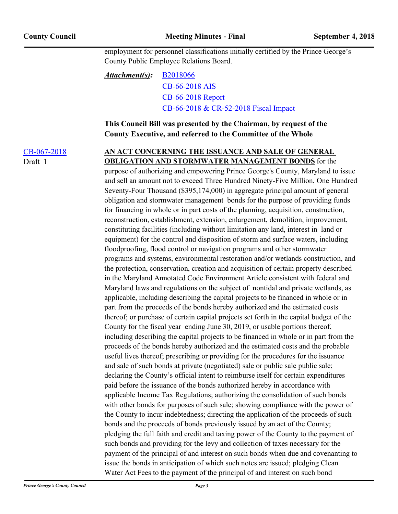employment for personnel classifications initially certified by the Prince George's County Public Employee Relations Board.

### [B2018066](http://princegeorgescountymd.legistar.com/gateway.aspx?M=F&ID=ca2292d8-9b6e-4403-8aea-d0353d9953bb.doc) [CB-66-2018 AIS](http://princegeorgescountymd.legistar.com/gateway.aspx?M=F&ID=17e7622d-8d4f-4203-8954-17f8389b73d1.pdf) [CB-66-2018 Report](http://princegeorgescountymd.legistar.com/gateway.aspx?M=F&ID=da4121a6-791e-4466-a264-9fc905697670.doc) [CB-66-2018 & CR-52-2018 Fiscal Impact](http://princegeorgescountymd.legistar.com/gateway.aspx?M=F&ID=41617ae3-7e43-4cf7-af98-9839ccf69a5d.pdf) *Attachment(s):*

**This Council Bill was presented by the Chairman, by request of the County Executive, and referred to the Committee of the Whole**

Draft 1

[CB-067-2018](http://princegeorgescountymd.legistar.com/gateway.aspx?m=l&id=/matter.aspx?key=10374) **AN ACT CONCERNING THE ISSUANCE AND SALE OF GENERAL OBLIGATION AND STORMWATER MANAGEMENT BONDS** for the

> purpose of authorizing and empowering Prince George's County, Maryland to issue and sell an amount not to exceed Three Hundred Ninety-Five Million, One Hundred Seventy-Four Thousand (\$395,174,000) in aggregate principal amount of general obligation and stormwater management bonds for the purpose of providing funds for financing in whole or in part costs of the planning, acquisition, construction, reconstruction, establishment, extension, enlargement, demolition, improvement, constituting facilities (including without limitation any land, interest in land or equipment) for the control and disposition of storm and surface waters, including floodproofing, flood control or navigation programs and other stormwater programs and systems, environmental restoration and/or wetlands construction, and the protection, conservation, creation and acquisition of certain property described in the Maryland Annotated Code Environment Article consistent with federal and Maryland laws and regulations on the subject of nontidal and private wetlands, as applicable, including describing the capital projects to be financed in whole or in part from the proceeds of the bonds hereby authorized and the estimated costs thereof; or purchase of certain capital projects set forth in the capital budget of the County for the fiscal year ending June 30, 2019, or usable portions thereof, including describing the capital projects to be financed in whole or in part from the proceeds of the bonds hereby authorized and the estimated costs and the probable useful lives thereof; prescribing or providing for the procedures for the issuance and sale of such bonds at private (negotiated) sale or public sale public sale; declaring the County's official intent to reimburse itself for certain expenditures paid before the issuance of the bonds authorized hereby in accordance with applicable Income Tax Regulations; authorizing the consolidation of such bonds with other bonds for purposes of such sale; showing compliance with the power of the County to incur indebtedness; directing the application of the proceeds of such bonds and the proceeds of bonds previously issued by an act of the County; pledging the full faith and credit and taxing power of the County to the payment of such bonds and providing for the levy and collection of taxes necessary for the payment of the principal of and interest on such bonds when due and covenanting to issue the bonds in anticipation of which such notes are issued; pledging Clean Water Act Fees to the payment of the principal of and interest on such bond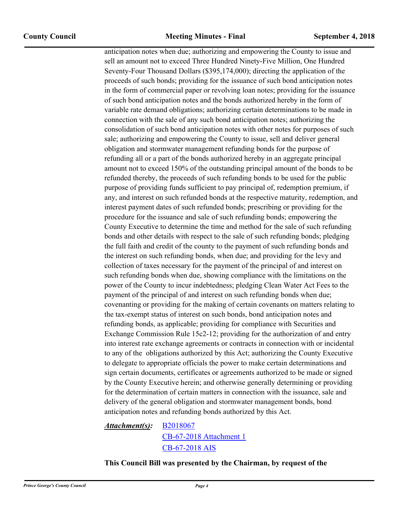anticipation notes when due; authorizing and empowering the County to issue and sell an amount not to exceed Three Hundred Ninety-Five Million, One Hundred Seventy-Four Thousand Dollars (\$395,174,000); directing the application of the proceeds of such bonds; providing for the issuance of such bond anticipation notes in the form of commercial paper or revolving loan notes; providing for the issuance of such bond anticipation notes and the bonds authorized hereby in the form of variable rate demand obligations; authorizing certain determinations to be made in connection with the sale of any such bond anticipation notes; authorizing the consolidation of such bond anticipation notes with other notes for purposes of such sale; authorizing and empowering the County to issue, sell and deliver general obligation and stormwater management refunding bonds for the purpose of refunding all or a part of the bonds authorized hereby in an aggregate principal amount not to exceed 150% of the outstanding principal amount of the bonds to be refunded thereby, the proceeds of such refunding bonds to be used for the public purpose of providing funds sufficient to pay principal of, redemption premium, if any, and interest on such refunded bonds at the respective maturity, redemption, and interest payment dates of such refunded bonds; prescribing or providing for the procedure for the issuance and sale of such refunding bonds; empowering the County Executive to determine the time and method for the sale of such refunding bonds and other details with respect to the sale of such refunding bonds; pledging the full faith and credit of the county to the payment of such refunding bonds and the interest on such refunding bonds, when due; and providing for the levy and collection of taxes necessary for the payment of the principal of and interest on such refunding bonds when due, showing compliance with the limitations on the power of the County to incur indebtedness; pledging Clean Water Act Fees to the payment of the principal of and interest on such refunding bonds when due; covenanting or providing for the making of certain covenants on matters relating to the tax-exempt status of interest on such bonds, bond anticipation notes and refunding bonds, as applicable; providing for compliance with Securities and Exchange Commission Rule 15c2-12; providing for the authorization of and entry into interest rate exchange agreements or contracts in connection with or incidental to any of the obligations authorized by this Act; authorizing the County Executive to delegate to appropriate officials the power to make certain determinations and sign certain documents, certificates or agreements authorized to be made or signed by the County Executive herein; and otherwise generally determining or providing for the determination of certain matters in connection with the issuance, sale and delivery of the general obligation and stormwater management bonds, bond anticipation notes and refunding bonds authorized by this Act.

### [B2018067](http://princegeorgescountymd.legistar.com/gateway.aspx?M=F&ID=4f79a490-db4f-48e3-9168-d43ee6c63cb4.doc) [CB-67-2018 Attachment 1](http://princegeorgescountymd.legistar.com/gateway.aspx?M=F&ID=b854ea44-fe3d-49cf-9c94-1aacbe9736ea.pdf) [CB-67-2018 AIS](http://princegeorgescountymd.legistar.com/gateway.aspx?M=F&ID=5669e1a9-f937-47a2-b66d-9cdf463bfc5a.pdf) *Attachment(s):*

**This Council Bill was presented by the Chairman, by request of the**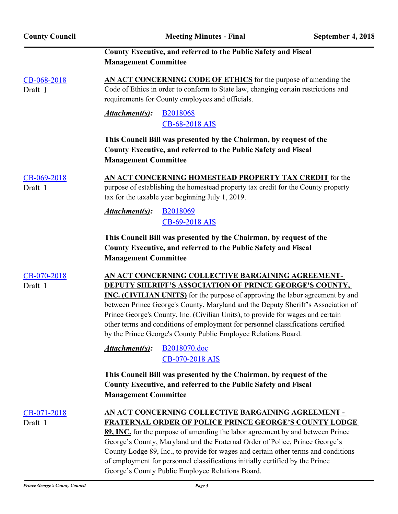| <b>County Council</b>    | <b>Meeting Minutes - Final</b>                                                                                                                                                                                                                                                                                                                                                                                                                                                                                                     | September 4, 2018 |
|--------------------------|------------------------------------------------------------------------------------------------------------------------------------------------------------------------------------------------------------------------------------------------------------------------------------------------------------------------------------------------------------------------------------------------------------------------------------------------------------------------------------------------------------------------------------|-------------------|
|                          | County Executive, and referred to the Public Safety and Fiscal<br><b>Management Committee</b>                                                                                                                                                                                                                                                                                                                                                                                                                                      |                   |
| CB-068-2018<br>Draft 1   | AN ACT CONCERNING CODE OF ETHICS for the purpose of amending the<br>Code of Ethics in order to conform to State law, changing certain restrictions and<br>requirements for County employees and officials.                                                                                                                                                                                                                                                                                                                         |                   |
|                          | Attachment(s):<br><b>B2018068</b><br>CB-68-2018 AIS                                                                                                                                                                                                                                                                                                                                                                                                                                                                                |                   |
|                          | This Council Bill was presented by the Chairman, by request of the<br>County Executive, and referred to the Public Safety and Fiscal<br><b>Management Committee</b>                                                                                                                                                                                                                                                                                                                                                                |                   |
| CB-069-2018<br>Draft 1   | AN ACT CONCERNING HOMESTEAD PROPERTY TAX CREDIT for the<br>purpose of establishing the homestead property tax credit for the County property<br>tax for the taxable year beginning July 1, 2019.                                                                                                                                                                                                                                                                                                                                   |                   |
|                          | Attachment(s):<br><b>B2018069</b><br>CB-69-2018 AIS                                                                                                                                                                                                                                                                                                                                                                                                                                                                                |                   |
|                          | This Council Bill was presented by the Chairman, by request of the<br>County Executive, and referred to the Public Safety and Fiscal<br><b>Management Committee</b>                                                                                                                                                                                                                                                                                                                                                                |                   |
| CB-070-2018<br>Draft 1   | AN ACT CONCERNING COLLECTIVE BARGAINING AGREEMENT-<br><b>DEPUTY SHERIFF'S ASSOCIATION OF PRINCE GEORGE'S COUNTY,</b><br>INC. (CIVILIAN UNITS) for the purpose of approving the labor agreement by and<br>between Prince George's County, Maryland and the Deputy Sheriff's Association of<br>Prince George's County, Inc. (Civilian Units), to provide for wages and certain<br>other terms and conditions of employment for personnel classifications certified<br>by the Prince George's County Public Employee Relations Board. |                   |
|                          | Attachment(s):<br>B2018070.doc<br>CB-070-2018 AIS                                                                                                                                                                                                                                                                                                                                                                                                                                                                                  |                   |
|                          | This Council Bill was presented by the Chairman, by request of the<br>County Executive, and referred to the Public Safety and Fiscal<br><b>Management Committee</b>                                                                                                                                                                                                                                                                                                                                                                |                   |
| $CB-071-2018$<br>Draft 1 | <u>AN ACT CONCERNING COLLECTIVE BARGAINING AGREEMENT -</u><br><b>FRATERNAL ORDER OF POLICE PRINCE GEORGE'S COUNTY LODGE</b><br>89, INC. for the purpose of amending the labor agreement by and between Prince<br>George's County, Maryland and the Fraternal Order of Police, Prince George's<br>County Lodge 89, Inc., to provide for wages and certain other terms and conditions<br>of employment for personnel classifications initially certified by the Prince<br>George's County Public Employee Relations Board.           |                   |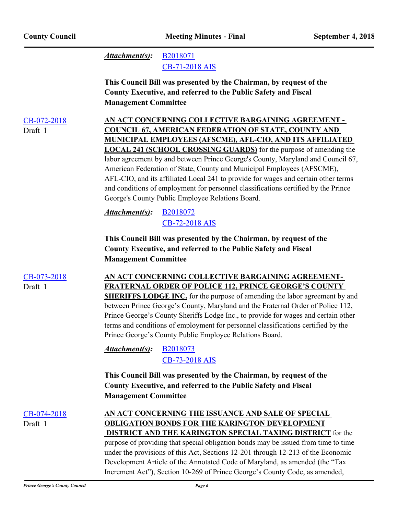[B2018071](http://princegeorgescountymd.legistar.com/gateway.aspx?M=F&ID=252f3041-dc9a-4b32-95c8-5c168a1edbaf.docx) [CB-71-2018 AIS](http://princegeorgescountymd.legistar.com/gateway.aspx?M=F&ID=2111deb3-2591-4b42-9833-56066b072ec0.pdf) *Attachment(s):* **This Council Bill was presented by the Chairman, by request of the County Executive, and referred to the Public Safety and Fiscal Management Committee** [CB-072-2018](http://princegeorgescountymd.legistar.com/gateway.aspx?m=l&id=/matter.aspx?key=10386) **AN ACT CONCERNING COLLECTIVE BARGAINING AGREEMENT - COUNCIL 67, AMERICAN FEDERATION OF STATE, COUNTY AND MUNICIPAL EMPLOYEES (AFSCME), AFL-CIO, AND ITS AFFILIATED LOCAL 241 (SCHOOL CROSSING GUARDS)** for the purpose of amending the labor agreement by and between Prince George's County, Maryland and Council 67, American Federation of State, County and Municipal Employees (AFSCME), AFL-CIO, and its affiliated Local 241 to provide for wages and certain other terms and conditions of employment for personnel classifications certified by the Prince George's County Public Employee Relations Board. Draft 1 [B2018072](http://princegeorgescountymd.legistar.com/gateway.aspx?M=F&ID=69c202e8-afa9-44a9-b501-31d2d93bb5d3.doc) [CB-72-2018 AIS](http://princegeorgescountymd.legistar.com/gateway.aspx?M=F&ID=6fb2434a-8235-4877-8702-016e9266e463.pdf) *Attachment(s):* **This Council Bill was presented by the Chairman, by request of the County Executive, and referred to the Public Safety and Fiscal Management Committee** [CB-073-2018](http://princegeorgescountymd.legistar.com/gateway.aspx?m=l&id=/matter.aspx?key=10388) **AN ACT CONCERNING COLLECTIVE BARGAINING AGREEMENT-FRATERNAL ORDER OF POLICE 112, PRINCE GEORGE'S COUNTY SHERIFFS LODGE INC.** for the purpose of amending the labor agreement by and between Prince George's County, Maryland and the Fraternal Order of Police 112, Prince George's County Sheriffs Lodge Inc., to provide for wages and certain other terms and conditions of employment for personnel classifications certified by the Prince George's County Public Employee Relations Board. Draft 1 [B2018073](http://princegeorgescountymd.legistar.com/gateway.aspx?M=F&ID=2263c14b-e1fd-4730-832a-17af5156bf9a.doc) [CB-73-2018 AIS](http://princegeorgescountymd.legistar.com/gateway.aspx?M=F&ID=19885b8d-e315-4237-a658-0fa178b7afc9.pdf) *Attachment(s):* **This Council Bill was presented by the Chairman, by request of the County Executive, and referred to the Public Safety and Fiscal Management Committee** [CB-074-2018](http://princegeorgescountymd.legistar.com/gateway.aspx?m=l&id=/matter.aspx?key=10391) **AN ACT CONCERNING THE ISSUANCE AND SALE OF SPECIAL OBLIGATION BONDS FOR THE KARINGTON DEVELOPMENT DISTRICT AND THE KARINGTON SPECIAL TAXING DISTRICT** for the purpose of providing that special obligation bonds may be issued from time to time under the provisions of this Act, Sections 12-201 through 12-213 of the Economic Development Article of the Annotated Code of Maryland, as amended (the "Tax Increment Act"), Section 10-269 of Prince George's County Code, as amended, Draft 1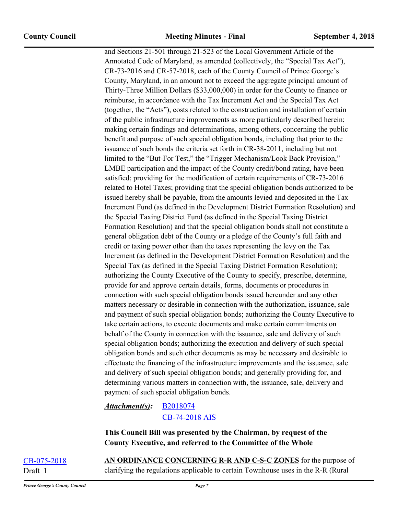and Sections 21-501 through 21-523 of the Local Government Article of the Annotated Code of Maryland, as amended (collectively, the "Special Tax Act"), CR-73-2016 and CR-57-2018, each of the County Council of Prince George's County, Maryland, in an amount not to exceed the aggregate principal amount of Thirty-Three Million Dollars (\$33,000,000) in order for the County to finance or reimburse, in accordance with the Tax Increment Act and the Special Tax Act (together, the "Acts"), costs related to the construction and installation of certain of the public infrastructure improvements as more particularly described herein; making certain findings and determinations, among others, concerning the public benefit and purpose of such special obligation bonds, including that prior to the issuance of such bonds the criteria set forth in CR-38-2011, including but not limited to the "But-For Test," the "Trigger Mechanism/Look Back Provision," LMBE participation and the impact of the County credit/bond rating, have been satisfied; providing for the modification of certain requirements of CR-73-2016 related to Hotel Taxes; providing that the special obligation bonds authorized to be issued hereby shall be payable, from the amounts levied and deposited in the Tax Increment Fund (as defined in the Development District Formation Resolution) and the Special Taxing District Fund (as defined in the Special Taxing District Formation Resolution) and that the special obligation bonds shall not constitute a general obligation debt of the County or a pledge of the County's full faith and credit or taxing power other than the taxes representing the levy on the Tax Increment (as defined in the Development District Formation Resolution) and the Special Tax (as defined in the Special Taxing District Formation Resolution); authorizing the County Executive of the County to specify, prescribe, determine, provide for and approve certain details, forms, documents or procedures in connection with such special obligation bonds issued hereunder and any other matters necessary or desirable in connection with the authorization, issuance, sale and payment of such special obligation bonds; authorizing the County Executive to take certain actions, to execute documents and make certain commitments on behalf of the County in connection with the issuance, sale and delivery of such special obligation bonds; authorizing the execution and delivery of such special obligation bonds and such other documents as may be necessary and desirable to effectuate the financing of the infrastructure improvements and the issuance, sale and delivery of such special obligation bonds; and generally providing for, and determining various matters in connection with, the issuance, sale, delivery and payment of such special obligation bonds.

#### [B2018074](http://princegeorgescountymd.legistar.com/gateway.aspx?M=F&ID=32349c05-b4cb-4c1b-9d1d-d0a375325add.DOCX) *Attachment(s):*

[CB-74-2018 AIS](http://princegeorgescountymd.legistar.com/gateway.aspx?M=F&ID=4e7d498a-1cb4-448c-ad3d-e1e819b879b7.pdf)

**This Council Bill was presented by the Chairman, by request of the County Executive, and referred to the Committee of the Whole**

[CB-075-2018](http://princegeorgescountymd.legistar.com/gateway.aspx?m=l&id=/matter.aspx?key=10346) **AN ORDINANCE CONCERNING R-R AND C-S-C ZONES** for the purpose of Draft 1 clarifying the regulations applicable to certain Townhouse uses in the R-R (Rural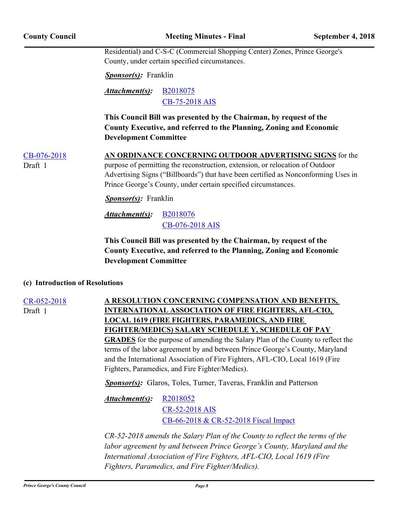| <b>County Council</b>                        |                                                                                                                                                                           | <b>Meeting Minutes - Final</b>                                                                                                                                                                                                                                                                     | September 4, 2018 |  |
|----------------------------------------------|---------------------------------------------------------------------------------------------------------------------------------------------------------------------------|----------------------------------------------------------------------------------------------------------------------------------------------------------------------------------------------------------------------------------------------------------------------------------------------------|-------------------|--|
|                                              |                                                                                                                                                                           | Residential) and C-S-C (Commercial Shopping Center) Zones, Prince George's<br>County, under certain specified circumstances.                                                                                                                                                                       |                   |  |
|                                              | <b>Sponsor(s):</b> Franklin                                                                                                                                               |                                                                                                                                                                                                                                                                                                    |                   |  |
| Attachment(s):<br>B2018075<br>CB-75-2018 AIS |                                                                                                                                                                           |                                                                                                                                                                                                                                                                                                    |                   |  |
|                                              | This Council Bill was presented by the Chairman, by request of the<br>County Executive, and referred to the Planning, Zoning and Economic<br><b>Development Committee</b> |                                                                                                                                                                                                                                                                                                    |                   |  |
| $CB-076-2018$<br>Draft 1                     |                                                                                                                                                                           | AN ORDINANCE CONCERNING OUTDOOR ADVERTISING SIGNS for the<br>purpose of permitting the reconstruction, extension, or relocation of Outdoor<br>Advertising Signs ("Billboards") that have been certified as Nonconforming Uses in<br>Prince George's County, under certain specified circumstances. |                   |  |
|                                              | <b>Sponsor(s):</b> Franklin                                                                                                                                               |                                                                                                                                                                                                                                                                                                    |                   |  |
|                                              | Attachment(s):                                                                                                                                                            | <b>B2018076</b><br>CB-076-2018 AIS                                                                                                                                                                                                                                                                 |                   |  |
|                                              | <b>Development Committee</b>                                                                                                                                              | This Council Bill was presented by the Chairman, by request of the<br>County Executive, and referred to the Planning, Zoning and Economic                                                                                                                                                          |                   |  |

### **(c) Introduction of Resolutions**

Draft 1

[CR-052-2018](http://princegeorgescountymd.legistar.com/gateway.aspx?m=l&id=/matter.aspx?key=10351) **A RESOLUTION CONCERNING COMPENSATION AND BENEFITS, INTERNATIONAL ASSOCIATION OF FIRE FIGHTERS, AFL-CIO, LOCAL 1619 (FIRE FIGHTERS, PARAMEDICS, AND FIRE FIGHTER/MEDICS) SALARY SCHEDULE Y, SCHEDULE OF PAY GRADES** for the purpose of amending the Salary Plan of the County to reflect the terms of the labor agreement by and between Prince George's County, Maryland and the International Association of Fire Fighters, AFL-CIO, Local 1619 (Fire Fighters, Paramedics, and Fire Fighter/Medics).

**Sponsor(s):** Glaros, Toles, Turner, Taveras, Franklin and Patterson

[R2018052](http://princegeorgescountymd.legistar.com/gateway.aspx?M=F&ID=f82f9c36-1a4e-48d6-8c0e-7cb3bdd0b97f.doc) [CR-52-2018 AIS](http://princegeorgescountymd.legistar.com/gateway.aspx?M=F&ID=05da9f28-cd34-48b4-a751-c17e94b42c35.pdf) [CB-66-2018 & CR-52-2018 Fiscal Impact](http://princegeorgescountymd.legistar.com/gateway.aspx?M=F&ID=7b5b7a8b-b89a-41dd-85b7-4f4a58aeff11.pdf) *Attachment(s):*

*CR-52-2018 amends the Salary Plan of the County to reflect the terms of the labor agreement by and between Prince George's County, Maryland and the International Association of Fire Fighters, AFL-CIO, Local 1619 (Fire Fighters, Paramedics, and Fire Fighter/Medics).*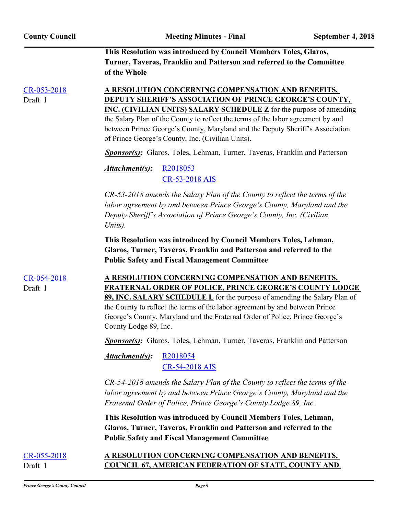**This Resolution was introduced by Council Members Toles, Glaros, Turner, Taveras, Franklin and Patterson and referred to the Committee of the Whole**

Draft 1

[CR-053-2018](http://princegeorgescountymd.legistar.com/gateway.aspx?m=l&id=/matter.aspx?key=10382) **A RESOLUTION CONCERNING COMPENSATION AND BENEFITS, DEPUTY SHERIFF'S ASSOCIATION OF PRINCE GEORGE'S COUNTY, INC. (CIVILIAN UNITS) SALARY SCHEDULE Z** for the purpose of amending the Salary Plan of the County to reflect the terms of the labor agreement by and between Prince George's County, Maryland and the Deputy Sheriff's Association of Prince George's County, Inc. (Civilian Units).

*Sponsor(s):* Glaros, Toles, Lehman, Turner, Taveras, Franklin and Patterson

[R2018053](http://princegeorgescountymd.legistar.com/gateway.aspx?M=F&ID=7b1e6761-1562-4112-a910-08e113313b97.doc) [CR-53-2018 AIS](http://princegeorgescountymd.legistar.com/gateway.aspx?M=F&ID=b53a7dd0-f6e7-4eac-9a15-6e48d1665a56.pdf) *Attachment(s):*

*CR-53-2018 amends the Salary Plan of the County to reflect the terms of the labor agreement by and between Prince George's County, Maryland and the Deputy Sheriff's Association of Prince George's County, Inc. (Civilian Units).*

**This Resolution was introduced by Council Members Toles, Lehman, Glaros, Turner, Taveras, Franklin and Patterson and referred to the Public Safety and Fiscal Management Committee**

[CR-054-2018](http://princegeorgescountymd.legistar.com/gateway.aspx?m=l&id=/matter.aspx?key=10384) **A RESOLUTION CONCERNING COMPENSATION AND BENEFITS, FRATERNAL ORDER OF POLICE, PRINCE GEORGE'S COUNTY LODGE 89, INC. SALARY SCHEDULE L** for the purpose of amending the Salary Plan of the County to reflect the terms of the labor agreement by and between Prince Draft 1

*Sponsor(s):* Glaros, Toles, Lehman, Turner, Taveras, Franklin and Patterson

George's County, Maryland and the Fraternal Order of Police, Prince George's

[R2018054](http://princegeorgescountymd.legistar.com/gateway.aspx?M=F&ID=449cb487-e1c3-4f01-956d-2d04ea39ff68.docx) [CR-54-2018 AIS](http://princegeorgescountymd.legistar.com/gateway.aspx?M=F&ID=45054175-88b3-42f0-9b12-e6b65a42ae33.pdf) *Attachment(s):*

County Lodge 89, Inc.

*CR-54-2018 amends the Salary Plan of the County to reflect the terms of the labor agreement by and between Prince George's County, Maryland and the Fraternal Order of Police, Prince George's County Lodge 89, Inc.*

**This Resolution was introduced by Council Members Toles, Lehman, Glaros, Turner, Taveras, Franklin and Patterson and referred to the Public Safety and Fiscal Management Committee**

## [CR-055-2018](http://princegeorgescountymd.legistar.com/gateway.aspx?m=l&id=/matter.aspx?key=10387) **A RESOLUTION CONCERNING COMPENSATION AND BENEFITS,**  Draft 1 **COUNCIL 67, AMERICAN FEDERATION OF STATE, COUNTY AND**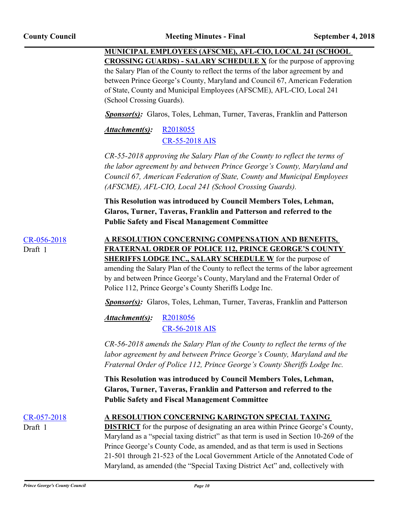**MUNICIPAL EMPLOYEES (AFSCME), AFL-CIO, LOCAL 241 (SCHOOL CROSSING GUARDS) - SALARY SCHEDULE X** for the purpose of approving the Salary Plan of the County to reflect the terms of the labor agreement by and between Prince George's County, Maryland and Council 67, American Federation of State, County and Municipal Employees (AFSCME), AFL-CIO, Local 241 (School Crossing Guards).

*Sponsor(s):* Glaros, Toles, Lehman, Turner, Taveras, Franklin and Patterson

[R2018055](http://princegeorgescountymd.legistar.com/gateway.aspx?M=F&ID=cabe26ee-cbcb-41b5-97fb-8c1869ffa7ea.doc) [CR-55-2018 AIS](http://princegeorgescountymd.legistar.com/gateway.aspx?M=F&ID=2b986fa1-dcf4-468d-9a84-69f0b6080d14.pdf) *Attachment(s):*

*CR-55-2018 approving the Salary Plan of the County to reflect the terms of the labor agreement by and between Prince George's County, Maryland and Council 67, American Federation of State, County and Municipal Employees (AFSCME), AFL-CIO, Local 241 (School Crossing Guards).*

**This Resolution was introduced by Council Members Toles, Lehman, Glaros, Turner, Taveras, Franklin and Patterson and referred to the Public Safety and Fiscal Management Committee**

Draft 1

[CR-056-2018](http://princegeorgescountymd.legistar.com/gateway.aspx?m=l&id=/matter.aspx?key=10389) **A RESOLUTION CONCERNING COMPENSATION AND BENEFITS, FRATERNAL ORDER OF POLICE 112, PRINCE GEORGE'S COUNTY SHERIFFS LODGE INC., SALARY SCHEDULE W** for the purpose of amending the Salary Plan of the County to reflect the terms of the labor agreement by and between Prince George's County, Maryland and the Fraternal Order of Police 112, Prince George's County Sheriffs Lodge Inc.

*Sponsor(s):* Glaros, Toles, Lehman, Turner, Taveras, Franklin and Patterson

[R2018056](http://princegeorgescountymd.legistar.com/gateway.aspx?M=F&ID=cdba2484-0ae3-49a3-b0c0-4def2ec96db1.doc) [CR-56-2018 AIS](http://princegeorgescountymd.legistar.com/gateway.aspx?M=F&ID=339fe29c-8c07-4994-b9fe-4181a851b072.pdf) *Attachment(s):*

*CR-56-2018 amends the Salary Plan of the County to reflect the terms of the labor agreement by and between Prince George's County, Maryland and the Fraternal Order of Police 112, Prince George's County Sheriffs Lodge Inc.*

**This Resolution was introduced by Council Members Toles, Lehman, Glaros, Turner, Taveras, Franklin and Patterson and referred to the Public Safety and Fiscal Management Committee**

Draft 1

## [CR-057-2018](http://princegeorgescountymd.legistar.com/gateway.aspx?m=l&id=/matter.aspx?key=10392) **A RESOLUTION CONCERNING KARINGTON SPECIAL TAXING**

**DISTRICT** for the purpose of designating an area within Prince George's County, Maryland as a "special taxing district" as that term is used in Section 10-269 of the Prince George's County Code, as amended, and as that term is used in Sections 21-501 through 21-523 of the Local Government Article of the Annotated Code of Maryland, as amended (the "Special Taxing District Act" and, collectively with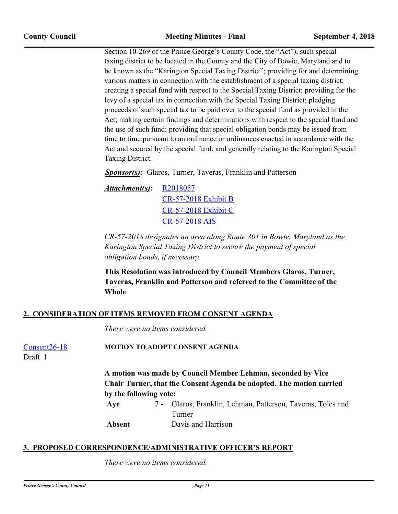Section 10-269 of the Prince George's County Code, the "Act"), such special taxing district to be located in the County and the City of Bowie, Maryland and to be known as the "Karington Special Taxing District"; providing for and determining various matters in connection with the establishment of a special taxing district; creating a special fund with respect to the Special Taxing District; providing for the levy of a special tax in connection with the Special Taxing District; pledging proceeds of such special tax to be paid over to the special fund as provided in the Act; making certain findings and determinations with respect to the special fund and the use of such fund; providing that special obligation bonds may be issued from time to time pursuant to an ordinance or ordinances enacted in accordance with the Act and secured by the special fund; and generally relating to the Karington Special Taxing District.

*Sponsor(s):* Glaros, Turner, Taveras, Franklin and Patterson

[R2018057](http://princegeorgescountymd.legistar.com/gateway.aspx?M=F&ID=b668506f-0ab1-4a9d-8463-380c9773e99f.docx) [CR-57-2018 Exhibit B](http://princegeorgescountymd.legistar.com/gateway.aspx?M=F&ID=a5ead354-56c9-4048-92ee-9336158c61a3.pdf) [CR-57-2018 Exhibit C](http://princegeorgescountymd.legistar.com/gateway.aspx?M=F&ID=dc08f3cc-267a-4a5b-ba7b-228e360dcd05.docx) [CR-57-2018 AIS](http://princegeorgescountymd.legistar.com/gateway.aspx?M=F&ID=dfdb1452-45a5-44f3-a6b0-1d19531962b9.pdf) *Attachment(s):*

*CR-57-2018 designates an area along Route 301 in Bowie, Maryland as the Karington Special Taxing District to secure the payment of special obligation bonds, if necessary.*

**This Resolution was introduced by Council Members Glaros, Turner, Taveras, Franklin and Patterson and referred to the Committee of the Whole**

## **2. CONSIDERATION OF ITEMS REMOVED FROM CONSENT AGENDA**

*There were no items considered.*

[Consent26-18](http://princegeorgescountymd.legistar.com/gateway.aspx?m=l&id=/matter.aspx?key=10349) **MOTION TO ADOPT CONSENT AGENDA**

Draft 1

**A motion was made by Council Member Lehman, seconded by Vice Chair Turner, that the Consent Agenda be adopted. The motion carried by the following vote:**

Glaros, Franklin, Lehman, Patterson, Taveras, Toles and Turner Aye

**Absent** Davis and Harrison

## **3. PROPOSED CORRESPONDENCE/ADMINISTRATIVE OFFICER'S REPORT**

*There were no items considered.*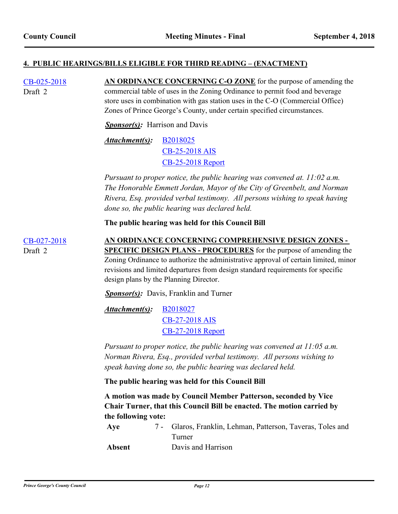### **4. PUBLIC HEARINGS/BILLS ELIGIBLE FOR THIRD READING – (ENACTMENT)**

[CB-025-2018](http://princegeorgescountymd.legistar.com/gateway.aspx?m=l&id=/matter.aspx?key=10204) **AN ORDINANCE CONCERNING C-O ZONE** for the purpose of amending the commercial table of uses in the Zoning Ordinance to permit food and beverage store uses in combination with gas station uses in the C-O (Commercial Office) Zones of Prince George's County, under certain specified circumstances. Draft 2 *Sponsor(s):* Harrison and Davis

> [B2018025](http://princegeorgescountymd.legistar.com/gateway.aspx?M=F&ID=3ccebe46-bfe1-4c92-9a81-708108f8e968.doc) [CB-25-2018 AIS](http://princegeorgescountymd.legistar.com/gateway.aspx?M=F&ID=ceda96f5-96c8-4915-add1-4e973afc6506.pdf) [CB-25-2018 Report](http://princegeorgescountymd.legistar.com/gateway.aspx?M=F&ID=478a8433-08f7-47fc-a01c-3acf0d5b3e50.docx) *Attachment(s):*

*Pursuant to proper notice, the public hearing was convened at. 11:02 a.m. The Honorable Emmett Jordan, Mayor of the City of Greenbelt, and Norman Rivera, Esq. provided verbal testimony. All persons wishing to speak having done so, the public hearing was declared held.*

**The public hearing was held for this Council Bill**

[CB-027-2018](http://princegeorgescountymd.legistar.com/gateway.aspx?m=l&id=/matter.aspx?key=10163) **AN ORDINANCE CONCERNING COMPREHENSIVE DESIGN ZONES - SPECIFIC DESIGN PLANS - PROCEDURES** for the purpose of amending the Zoning Ordinance to authorize the administrative approval of certain limited, minor revisions and limited departures from design standard requirements for specific Draft 2

*Sponsor(s)*: Davis, Franklin and Turner

[B2018027](http://princegeorgescountymd.legistar.com/gateway.aspx?M=F&ID=12a74895-5b35-44c5-ac1d-576424e71d6c.doc) [CB-27-2018 AIS](http://princegeorgescountymd.legistar.com/gateway.aspx?M=F&ID=33a6ff67-a808-4724-a806-dc2960389cd2.pdf) [CB-27-2018 Report](http://princegeorgescountymd.legistar.com/gateway.aspx?M=F&ID=16addc4d-53cc-46e5-ac15-c68cc3d787b2.doc) *Attachment(s):*

design plans by the Planning Director.

*Pursuant to proper notice, the public hearing was convened at 11:05 a.m. Norman Rivera, Esq., provided verbal testimony. All persons wishing to speak having done so, the public hearing was declared held.*

**The public hearing was held for this Council Bill**

**A motion was made by Council Member Patterson, seconded by Vice Chair Turner, that this Council Bill be enacted. The motion carried by the following vote:**

Glaros, Franklin, Lehman, Patterson, Taveras, Toles and Turner **Aye** 7 -

**Absent** Davis and Harrison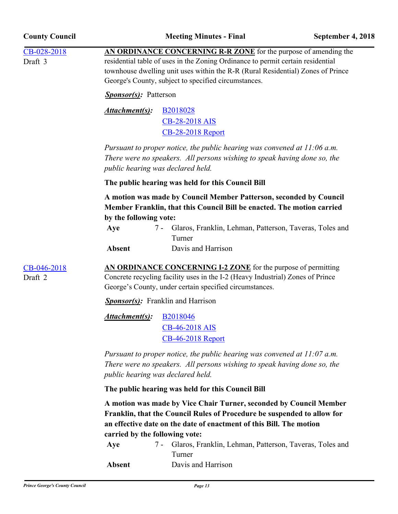| <b>County Council</b>  |                                                                                                                                                                                                                                                        | <b>Meeting Minutes - Final</b>                                                                                                                                                                                                                                                                 | September 4, 2018 |  |  |
|------------------------|--------------------------------------------------------------------------------------------------------------------------------------------------------------------------------------------------------------------------------------------------------|------------------------------------------------------------------------------------------------------------------------------------------------------------------------------------------------------------------------------------------------------------------------------------------------|-------------------|--|--|
| CB-028-2018<br>Draft 3 |                                                                                                                                                                                                                                                        | AN ORDINANCE CONCERNING R-R ZONE for the purpose of amending the<br>residential table of uses in the Zoning Ordinance to permit certain residential<br>townhouse dwelling unit uses within the R-R (Rural Residential) Zones of Prince<br>George's County, subject to specified circumstances. |                   |  |  |
|                        | <b>Sponsor(s)</b> : Patterson                                                                                                                                                                                                                          |                                                                                                                                                                                                                                                                                                |                   |  |  |
|                        | Attachment(s):                                                                                                                                                                                                                                         | B2018028<br>CB-28-2018 AIS<br><b>CB-28-2018 Report</b>                                                                                                                                                                                                                                         |                   |  |  |
|                        | public hearing was declared held.                                                                                                                                                                                                                      | Pursuant to proper notice, the public hearing was convened at $11:06$ a.m.<br>There were no speakers. All persons wishing to speak having done so, the                                                                                                                                         |                   |  |  |
|                        | The public hearing was held for this Council Bill                                                                                                                                                                                                      |                                                                                                                                                                                                                                                                                                |                   |  |  |
|                        | by the following vote:<br>Aye<br><b>Absent</b>                                                                                                                                                                                                         | A motion was made by Council Member Patterson, seconded by Council<br>Member Franklin, that this Council Bill be enacted. The motion carried<br>7 - Glaros, Franklin, Lehman, Patterson, Taveras, Toles and<br>Turner<br>Davis and Harrison                                                    |                   |  |  |
| CB-046-2018<br>Draft 2 |                                                                                                                                                                                                                                                        | AN ORDINANCE CONCERNING I-2 ZONE for the purpose of permitting<br>Concrete recycling facility uses in the I-2 (Heavy Industrial) Zones of Prince<br>George's County, under certain specified circumstances.                                                                                    |                   |  |  |
|                        | <b>Sponsor(s):</b> Franklin and Harrison                                                                                                                                                                                                               |                                                                                                                                                                                                                                                                                                |                   |  |  |
|                        | Attachment(s): B2018046                                                                                                                                                                                                                                | <b>CB-46-2018 AIS</b><br><b>CB-46-2018 Report</b>                                                                                                                                                                                                                                              |                   |  |  |
|                        | Pursuant to proper notice, the public hearing was convened at $11:07$ a.m.<br>There were no speakers. All persons wishing to speak having done so, the<br>public hearing was declared held.                                                            |                                                                                                                                                                                                                                                                                                |                   |  |  |
|                        | The public hearing was held for this Council Bill                                                                                                                                                                                                      |                                                                                                                                                                                                                                                                                                |                   |  |  |
|                        | A motion was made by Vice Chair Turner, seconded by Council Member<br>Franklin, that the Council Rules of Procedure be suspended to allow for<br>an effective date on the date of enactment of this Bill. The motion<br>carried by the following vote: |                                                                                                                                                                                                                                                                                                |                   |  |  |
|                        | Aye<br>$7 -$<br><b>Absent</b>                                                                                                                                                                                                                          | Glaros, Franklin, Lehman, Patterson, Taveras, Toles and<br>Turner<br>Davis and Harrison                                                                                                                                                                                                        |                   |  |  |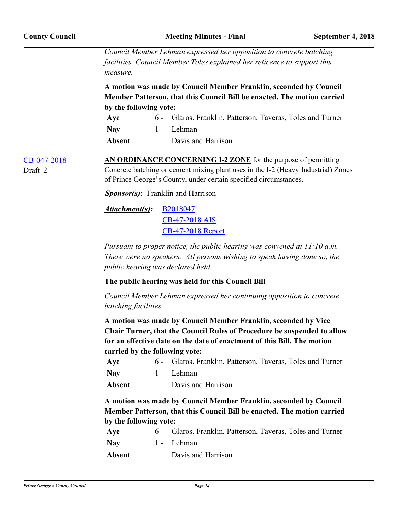*Council Member Lehman expressed her opposition to concrete batching facilities. Council Member Toles explained her reticence to support this measure.*

**A motion was made by Council Member Franklin, seconded by Council Member Patterson, that this Council Bill be enacted. The motion carried by the following vote:**

| Aye        | 6 - Glaros, Franklin, Patterson, Taveras, Toles and Turner |
|------------|------------------------------------------------------------|
| <b>Nay</b> | 1 - Lehman                                                 |

**Absent** Davis and Harrison

Draft 2

[CB-047-2018](http://princegeorgescountymd.legistar.com/gateway.aspx?m=l&id=/matter.aspx?key=9955) **AN ORDINANCE CONCERNING I-2 ZONE** for the purpose of permitting Concrete batching or cement mixing plant uses in the I-2 (Heavy Industrial) Zones of Prince George's County, under certain specified circumstances.

*Sponsor(s):* Franklin and Harrison

[B2018047](http://princegeorgescountymd.legistar.com/gateway.aspx?M=F&ID=a0d68fe0-9cbc-43ee-9370-17f6b97d0253.doc) [CB-47-2018 AIS](http://princegeorgescountymd.legistar.com/gateway.aspx?M=F&ID=1cc1f78e-a850-46b0-9419-ba0a80227fa3.pdf) [CB-47-2018 Report](http://princegeorgescountymd.legistar.com/gateway.aspx?M=F&ID=ce85a5b1-6e9f-4f27-9635-f298a84f26dd.doc) *Attachment(s):*

*Pursuant to proper notice, the public hearing was convened at 11:10 a.m. There were no speakers. All persons wishing to speak having done so, the public hearing was declared held.*

**The public hearing was held for this Council Bill**

*Council Member Lehman expressed her continuing opposition to concrete batching facilities.*

**A motion was made by Council Member Franklin, seconded by Vice Chair Turner, that the Council Rules of Procedure be suspended to allow for an effective date on the date of enactment of this Bill. The motion carried by the following vote:**

| Aye        | 6 - Glaros, Franklin, Patterson, Taveras, Toles and Turner |
|------------|------------------------------------------------------------|
| <b>Nav</b> | 1 - Lehman                                                 |
| Absent     | Davis and Harrison                                         |

**A motion was made by Council Member Franklin, seconded by Council Member Patterson, that this Council Bill be enacted. The motion carried by the following vote:**

| Aye           | 6 - Glaros, Franklin, Patterson, Taveras, Toles and Turner |
|---------------|------------------------------------------------------------|
| <b>Nav</b>    | 1 - Lehman                                                 |
| <b>Absent</b> | Davis and Harrison                                         |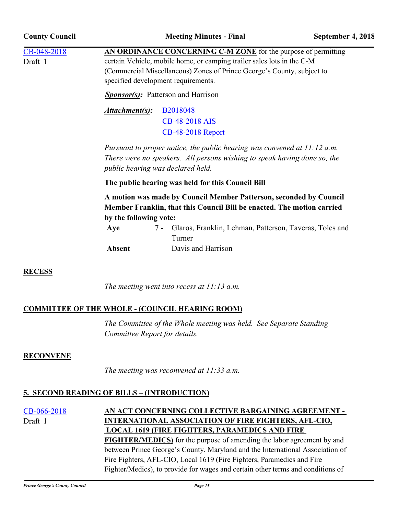| <b>County Council</b>  |                                                                                                                                                                                                                                                                                               | <b>Meeting Minutes - Final</b>               | September 4, 2018 |  |  |
|------------------------|-----------------------------------------------------------------------------------------------------------------------------------------------------------------------------------------------------------------------------------------------------------------------------------------------|----------------------------------------------|-------------------|--|--|
| CB-048-2018<br>Draft 1 | AN ORDINANCE CONCERNING C-M ZONE for the purpose of permitting<br>certain Vehicle, mobile home, or camping trailer sales lots in the C-M<br>(Commercial Miscellaneous) Zones of Prince George's County, subject to<br>specified development requirements.                                     |                                              |                   |  |  |
|                        | <b>Sponsor(s):</b> Patterson and Harrison                                                                                                                                                                                                                                                     |                                              |                   |  |  |
|                        | B2018048<br>Attachment(s):<br>CB-48-2018 AIS<br><b>CB-48-2018 Report</b><br>Pursuant to proper notice, the public hearing was convened at $11:12$ a.m.<br>There were no speakers. All persons wishing to speak having done so, the<br>public hearing was declared held.                       |                                              |                   |  |  |
|                        | The public hearing was held for this Council Bill                                                                                                                                                                                                                                             |                                              |                   |  |  |
|                        | A motion was made by Council Member Patterson, seconded by Council<br>Member Franklin, that this Council Bill be enacted. The motion carried<br>by the following vote:<br>7 - Glaros, Franklin, Lehman, Patterson, Taveras, Toles and<br>Aye<br>Turner<br>Davis and Harrison<br><b>Absent</b> |                                              |                   |  |  |
| <b>RECESS</b>          |                                                                                                                                                                                                                                                                                               |                                              |                   |  |  |
|                        |                                                                                                                                                                                                                                                                                               | The meeting went into recess at $11:13$ a.m. |                   |  |  |

# **COMMITTEE OF THE WHOLE - (COUNCIL HEARING ROOM)**

*The Committee of the Whole meeting was held. See Separate Standing Committee Report for details.*

# **RECONVENE**

*The meeting was reconvened at 11:33 a.m.*

# **5. SECOND READING OF BILLS – (INTRODUCTION)**

[CB-066-2018](http://princegeorgescountymd.legistar.com/gateway.aspx?m=l&id=/matter.aspx?key=10350) **AN ACT CONCERNING COLLECTIVE BARGAINING AGREEMENT - INTERNATIONAL ASSOCIATION OF FIRE FIGHTERS, AFL-CIO, LOCAL 1619 (FIRE FIGHTERS, PARAMEDICS AND FIRE FIGHTER/MEDICS)** for the purpose of amending the labor agreement by and between Prince George's County, Maryland and the International Association of Fire Fighters, AFL-CIO, Local 1619 (Fire Fighters, Paramedics and Fire Fighter/Medics), to provide for wages and certain other terms and conditions of Draft 1